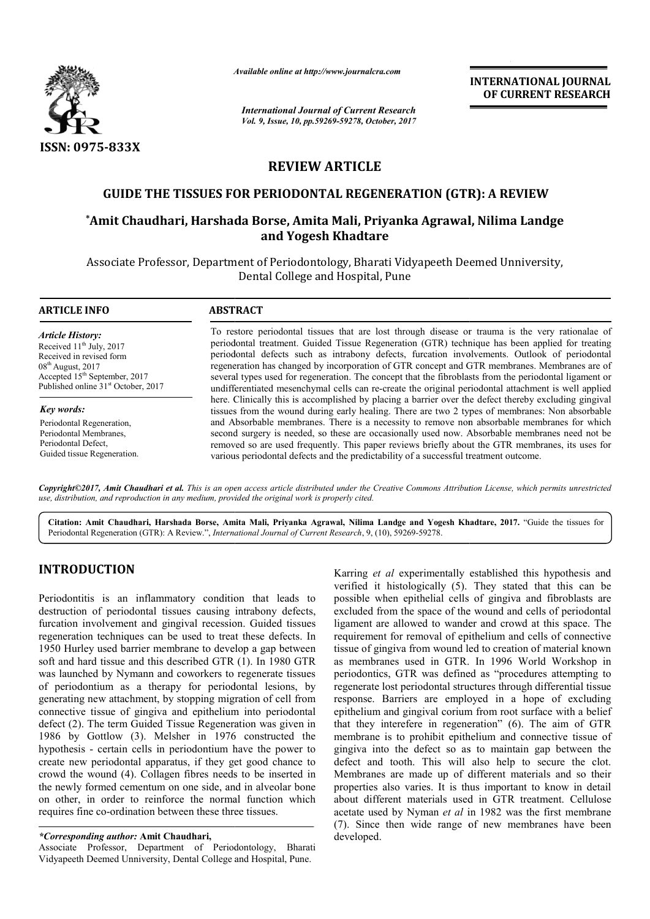

*Available online at http://www.journal http://www.journalcra.com*

*International Journal of Current Research Vol. 9, Issue, 10, pp.59269-59278, October, 2017* **INTERNATIONAL JOURNAL OF CURRENT RESEARCH** 

# **REVIEW ARTICLE**

# **GUIDE THE TISSUES FOR PERIODONTAL REGENERATION (GTR): A REVIEW PERIODONTAL REGENERATION A REVIEW**

# **\*Amit Chaudhari, Harshada Borse, Amita Mali, Priyanka Agrawal, Nilima Landge and Yogesh Khadtare**

Associate Professor, Department of Periodontology, Bharati Vidyapeeth Deemed Unniversity, Dental College and Hospital, Pune

#### **ARTICLE INFO ABSTRACT**

*Article History:* Received 11<sup>th</sup> July, 2017 Received in revised form  $08<sup>th</sup>$  August, 2017 Accepted 15<sup>th</sup> September, 2017 Published online 31<sup>st</sup> October, 2017

*Key words:* Periodontal Regeneration, Periodontal Membranes, Periodontal Defect, Guided tissue Regeneration. To restore periodontal tissues that are lost through disease or trauma is the very rationalae of periodontal treatment. Guided Tissue Regeneration (GTR) technique has been applied for treating periodontal defects such as intrabony defects, furcation involvements. Outlook of periodontal regeneration has changed by incorporation of GTR concept and GTR membranes. Membranes are of several types used for regeneration. The concept that the fibroblasts from the periodontal ligament or undifferentiated mesenchymal cells can re re-create the original periodontal attachment is well applied here. Clinically this is accomplished by placing a barrier over the defect thereby excluding gingival tissues from the wound during early healing. There are two 2 types of membranes: Non absorbable and Absorbable membranes. There is a necessity to remove non absorbable membranes for which second surgery is needed, so these are occasionally used now. Absorbable membranes need not be removed so are used frequently. This paper reviews briefly about the GTR membranes, its uses for various periodontal defects and the predictability of a successful treatment outcome. neration has changed by incorporation of GTR concept and GTR membranes. Membranes are of ral types used for regeneration. The concept that the fibroblasts from the periodontal ligament or fferentiated mesenchymal cells can needed, so these are occasionally used now. Absorbable membranes need not be ed frequently. This paper reviews briefly about the GTR membranes, its uses for I defects and the predictability of a successful treatment outcom

*Copyright©2017, Amit Chaudhari et al. This is an open access article distributed under the Creative Commons Att Attribution License, which ribution permits unrestricted use, distribution, and reproduction in any medium, provided the original work is properly cited.*

Citation: Amit Chaudhari, Harshada Borse, Amita Mali, Priyanka Agrawal, Nilima Landge and Yogesh Khadtare, 2017. "Guide the tissues for Periodontal Regeneration (GTR): A Review.", *International Journal of Current Research* , 9, (10), 59269-59278.

# **INTRODUCTION**

Periodontitis is an inflammatory condition that leads to destruction of periodontal tissues causing intrabony defects, furcation involvement and gingival recession. Guided tissues regeneration techniques can be used to treat these defects. In 1950 Hurley used barrier membrane to develop a gap between soft and hard tissue and this described GTR (1). In 1980 GTR was launched by Nymann and coworkers to regenerate tissues of periodontium as a therapy for periodontal lesions, by generating new attachment, by stopping migration of cell from connective tissue of gingiva and epithelium into periodontal defect (2). The term Guided Tissue Regeneration was given in 1986 by Gottlow (3). Melsher in 1976 constructed the hypothesis - certain cells in periodontium have the power to create new periodontal apparatus, if they get good chance to crowd the wound (4). Collagen fibres needs to be inserted in the newly formed cementum on one side, and in alveolar bone on other, in order to reinforce the normal function which requires fine co-ordination between these three tissues.

Associate Professor, Department of Periodontology, Bharati Vidyapeeth Deemed Unniversity, Dental College and Hospital, Pune.

Karring et al experimentally established this hypothesis and verified it histologically (5). They stated that this can be possible when epithelial cells of gingiva and fibroblasts are excluded from the space of the wound and cells of periodontal ligament are allowed to wander and crowd at this space. The requirement for removal of epithelium and cells of connective tissue of gingiva from wound led to creation of material known as membranes used in GTR. In 1996 World Workshop in periodontics, GTR was defined as "procedures attempting to regenerate lost periodontal structures through differential tissue response. Barriers are employed in a hope of excluding epithelium and gingival corium from root surface with a belief that they interefere in regeneration" (6). The aim of GTR membrane is to prohibit epithelium and connective tissue of gingiva into the defect so as to maintain gap between the defect and tooth. This will also help to secure the clot. Membranes are made up of different materials and so their properties also varies. It is thus important to know in detail about different materials used in GTR treatment. Cellulose acetate used by Nyman *et al* in 1982 was the first membrane (7). Since then wide range of new membranes have been developed.

*<sup>\*</sup>Corresponding author:* **Amit Chaudhari,**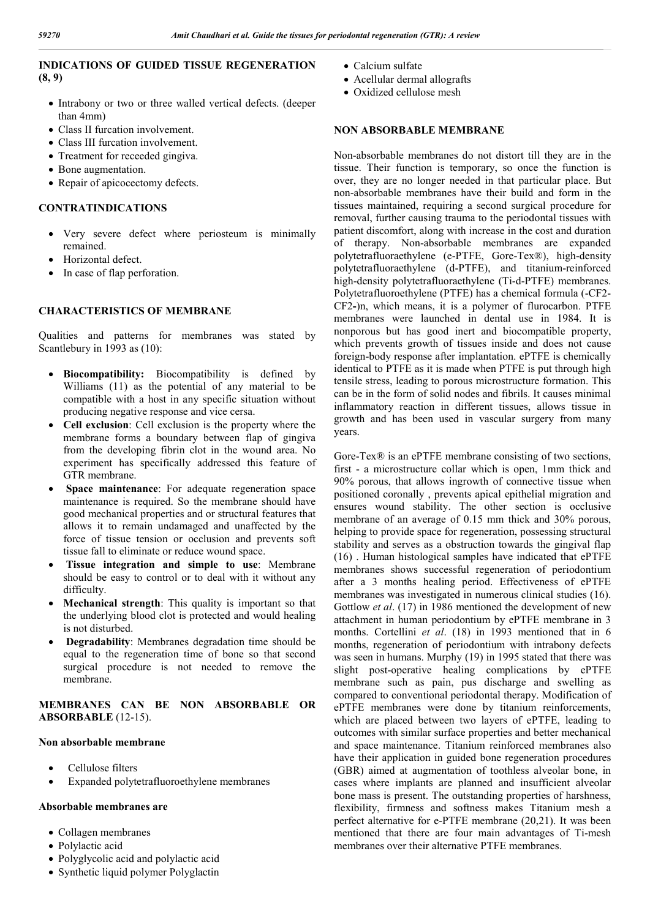# **INDICATIONS OF GUIDED TISSUE REGENERATION (8, 9)**

- Intrabony or two or three walled vertical defects. (deeper than 4mm)
- Class II furcation involvement.
- Class III furcation involvement.
- Treatment for receeded gingiva.
- Bone augmentation.
- Repair of apicocectomy defects.

# **CONTRATINDICATIONS**

- Very severe defect where periosteum is minimally remained.
- Horizontal defect.
- In case of flap perforation.

# **CHARACTERISTICS OF MEMBRANE**

Qualities and patterns for membranes was stated by Scantlebury in 1993 as (10):

- **Biocompatibility:** Biocompatibility is defined by Williams (11) as the potential of any material to be compatible with a host in any specific situation without producing negative response and vice cersa.
- **Cell exclusion**: Cell exclusion is the property where the membrane forms a boundary between flap of gingiva from the developing fibrin clot in the wound area. No experiment has specifically addressed this feature of GTR membrane.
- **Space maintenance**: For adequate regeneration space maintenance is required. So the membrane should have good mechanical properties and or structural features that allows it to remain undamaged and unaffected by the force of tissue tension or occlusion and prevents soft tissue fall to eliminate or reduce wound space.
- **Tissue integration and simple to use**: Membrane should be easy to control or to deal with it without any difficulty.
- **Mechanical strength**: This quality is important so that the underlying blood clot is protected and would healing is not disturbed.
- **Degradability**: Membranes degradation time should be equal to the regeneration time of bone so that second surgical procedure is not needed to remove the membrane.

# **MEMBRANES CAN BE NON ABSORBABLE OR ABSORBABLE** (12-15).

#### **Non absorbable membrane**

- Cellulose filters
- Expanded polytetrafluoroethylene membranes

# **Absorbable membranes are**

- Collagen membranes
- Polylactic acid
- Polyglycolic acid and polylactic acid
- Synthetic liquid polymer Polyglactin
- Calcium sulfate
- Acellular dermal allografts
- Oxidized cellulose mesh

#### **NON ABSORBABLE MEMBRANE**

Non-absorbable membranes do not distort till they are in the tissue. Their function is temporary, so once the function is over, they are no longer needed in that particular place. But non-absorbable membranes have their build and form in the tissues maintained, requiring a second surgical procedure for removal, further causing trauma to the periodontal tissues with patient discomfort, along with increase in the cost and duration of therapy. Non-absorbable membranes are expanded polytetrafluoraethylene (e-PTFE, Gore-Tex®), high-density polytetrafluoraethylene (d-PTFE), and titanium-reinforced high-density polytetrafluoraethylene (Ti-d-PTFE) membranes. Polytetrafluoroethylene (PTFE) has a chemical formula (-CF2- CF2**-**)n, which means, it is a polymer of flurocarbon. PTFE membranes were launched in dental use in 1984. It is nonporous but has good inert and biocompatible property, which prevents growth of tissues inside and does not cause foreign-body response after implantation. ePTFE is chemically identical to PTFE as it is made when PTFE is put through high tensile stress, leading to porous microstructure formation. This can be in the form of solid nodes and fibrils. It causes minimal inflammatory reaction in different tissues, allows tissue in growth and has been used in vascular surgery from many years.

Gore-Tex® is an ePTFE membrane consisting of two sections, first - a microstructure collar which is open, 1mm thick and 90% porous, that allows ingrowth of connective tissue when positioned coronally , prevents apical epithelial migration and ensures wound stability. The other section is occlusive membrane of an average of 0.15 mm thick and 30% porous, helping to provide space for regeneration, possessing structural stability and serves as a obstruction towards the gingival flap (16) . Human histological samples have indicated that ePTFE membranes shows successful regeneration of periodontium after a 3 months healing period. Effectiveness of ePTFE membranes was investigated in numerous clinical studies (16). Gottlow *et al*. (17) in 1986 mentioned the development of new attachment in human periodontium by ePTFE membrane in 3 months. Cortellini *et al*. (18) in 1993 mentioned that in 6 months, regeneration of periodontium with intrabony defects was seen in humans. Murphy (19) in 1995 stated that there was slight post-operative healing complications by ePTFE membrane such as pain, pus discharge and swelling as compared to conventional periodontal therapy. Modification of ePTFE membranes were done by titanium reinforcements, which are placed between two layers of ePTFE, leading to outcomes with similar surface properties and better mechanical and space maintenance. Titanium reinforced membranes also have their application in guided bone regeneration procedures (GBR) aimed at augmentation of toothless alveolar bone, in cases where implants are planned and insufficient alveolar bone mass is present. The outstanding properties of harshness, flexibility, firmness and softness makes Titanium mesh a perfect alternative for e-PTFE membrane (20,21). It was been mentioned that there are four main advantages of Ti-mesh membranes over their alternative PTFE membranes.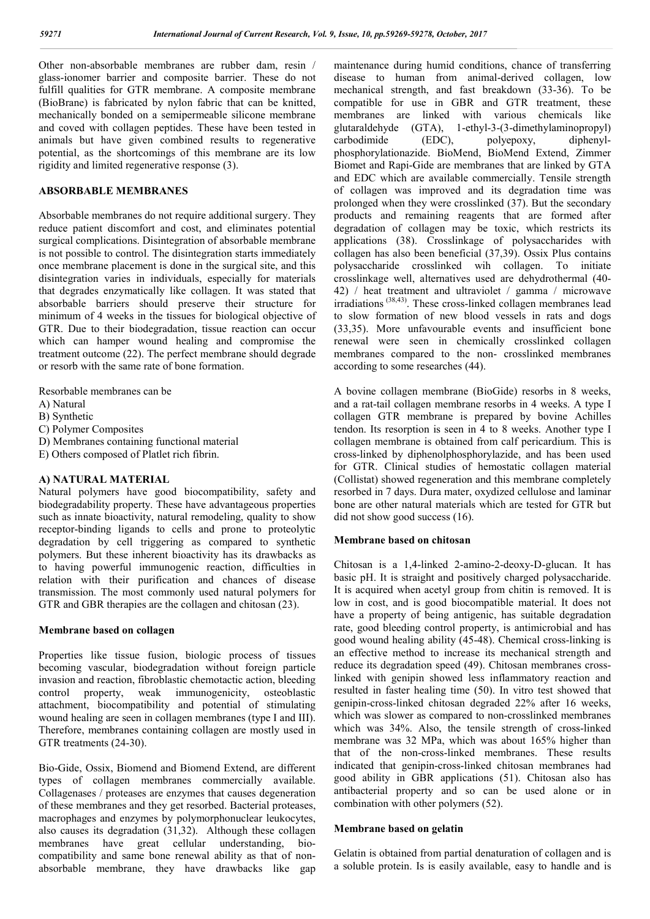Other non-absorbable membranes are rubber dam, resin / glass-ionomer barrier and composite barrier. These do not fulfill qualities for GTR membrane. A composite membrane (BioBrane) is fabricated by nylon fabric that can be knitted, mechanically bonded on a semipermeable silicone membrane and coved with collagen peptides. These have been tested in animals but have given combined results to regenerative potential, as the shortcomings of this membrane are its low rigidity and limited regenerative response (3).

# **ABSORBABLE MEMBRANES**

Absorbable membranes do not require additional surgery. They reduce patient discomfort and cost, and eliminates potential surgical complications. Disintegration of absorbable membrane is not possible to control. The disintegration starts immediately once membrane placement is done in the surgical site, and this disintegration varies in individuals, especially for materials that degrades enzymatically like collagen. It was stated that absorbable barriers should preserve their structure for minimum of 4 weeks in the tissues for biological objective of GTR. Due to their biodegradation, tissue reaction can occur which can hamper wound healing and compromise the treatment outcome (22). The perfect membrane should degrade or resorb with the same rate of bone formation.

Resorbable membranes can be

- A) Natural
- B) Synthetic

C) Polymer Composites

- D) Membranes containing functional material
- E) Others composed of Platlet rich fibrin.

# **A) NATURAL MATERIAL**

Natural polymers have good biocompatibility, safety and biodegradability property. These have advantageous properties such as innate bioactivity, natural remodeling, quality to show receptor-binding ligands to cells and prone to proteolytic degradation by cell triggering as compared to synthetic polymers. But these inherent bioactivity has its drawbacks as to having powerful immunogenic reaction, difficulties in relation with their purification and chances of disease transmission. The most commonly used natural polymers for GTR and GBR therapies are the collagen and chitosan (23).

#### **Membrane based on collagen**

Properties like tissue fusion, biologic process of tissues becoming vascular, biodegradation without foreign particle invasion and reaction, fibroblastic chemotactic action, bleeding control property, weak immunogenicity, osteoblastic attachment, biocompatibility and potential of stimulating wound healing are seen in collagen membranes (type I and III). Therefore, membranes containing collagen are mostly used in GTR treatments (24-30).

Bio-Gide, Ossix, Biomend and Biomend Extend, are different types of collagen membranes commercially available. Collagenases / proteases are enzymes that causes degeneration of these membranes and they get resorbed. Bacterial proteases, macrophages and enzymes by polymorphonuclear leukocytes, also causes its degradation (31,32). Although these collagen membranes have great cellular understanding, biocompatibility and same bone renewal ability as that of nonabsorbable membrane, they have drawbacks like gap

maintenance during humid conditions, chance of transferring disease to human from animal-derived collagen, low mechanical strength, and fast breakdown (33-36). To be compatible for use in GBR and GTR treatment, these membranes are linked with various chemicals like glutaraldehyde (GTA), 1-ethyl-3-(3-dimethylaminopropyl) carbodimide (EDC), polyepoxy, diphenylphosphorylationazide. BioMend, BioMend Extend, Zimmer Biomet and Rapi-Gide are membranes that are linked by GTA and EDC which are available commercially. Tensile strength of collagen was improved and its degradation time was prolonged when they were crosslinked (37). But the secondary products and remaining reagents that are formed after degradation of collagen may be toxic, which restricts its applications (38). Crosslinkage of polysaccharides with collagen has also been beneficial (37,39). Ossix Plus contains polysaccharide crosslinked wih collagen. To initiate crosslinkage well, alternatives used are dehydrothermal (40- 42) / heat treatment and ultraviolet / gamma / microwave irradiations<sup>(38,43)</sup>. These cross-linked collagen membranes lead to slow formation of new blood vessels in rats and dogs (33,35). More unfavourable events and insufficient bone renewal were seen in chemically crosslinked collagen membranes compared to the non- crosslinked membranes according to some researches (44).

A bovine collagen membrane (BioGide) resorbs in 8 weeks, and a rat-tail collagen membrane resorbs in 4 weeks. A type I collagen GTR membrane is prepared by bovine Achilles tendon. Its resorption is seen in 4 to 8 weeks. Another type I collagen membrane is obtained from calf pericardium. This is cross-linked by diphenolphosphorylazide, and has been used for GTR. Clinical studies of hemostatic collagen material (Collistat) showed regeneration and this membrane completely resorbed in 7 days. Dura mater, oxydized cellulose and laminar bone are other natural materials which are tested for GTR but did not show good success (16).

#### **Membrane based on chitosan**

Chitosan is a 1,4-linked 2-amino-2-deoxy-D-glucan. It has basic pH. It is straight and positively charged polysaccharide. It is acquired when acetyl group from chitin is removed. It is low in cost, and is good biocompatible material. It does not have a property of being antigenic, has suitable degradation rate, good bleeding control property, is antimicrobial and has good wound healing ability (45-48). Chemical cross-linking is an effective method to increase its mechanical strength and reduce its degradation speed (49). Chitosan membranes crosslinked with genipin showed less inflammatory reaction and resulted in faster healing time (50). In vitro test showed that genipin-cross-linked chitosan degraded 22% after 16 weeks, which was slower as compared to non-crosslinked membranes which was 34%. Also, the tensile strength of cross-linked membrane was 32 MPa, which was about 165% higher than that of the non-cross-linked membranes. These results indicated that genipin-cross-linked chitosan membranes had good ability in GBR applications (51). Chitosan also has antibacterial property and so can be used alone or in combination with other polymers (52).

#### **Membrane based on gelatin**

Gelatin is obtained from partial denaturation of collagen and is a soluble protein. Is is easily available, easy to handle and is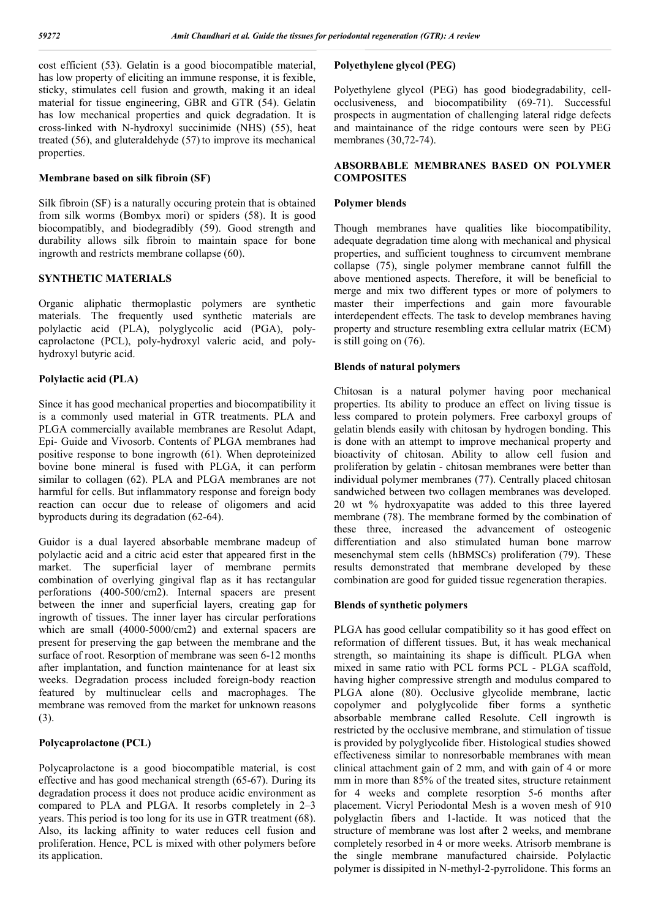cost efficient (53). Gelatin is a good biocompatible material, has low property of eliciting an immune response, it is fexible, sticky, stimulates cell fusion and growth, making it an ideal material for tissue engineering, GBR and GTR (54). Gelatin has low mechanical properties and quick degradation. It is cross-linked with N-hydroxyl succinimide (NHS) (55), heat treated (56), and gluteraldehyde (57) to improve its mechanical properties.

# **Membrane based on silk fibroin (SF)**

Silk fibroin (SF) is a naturally occuring protein that is obtained from silk worms (Bombyx mori) or spiders (58). It is good biocompatibly, and biodegradibly (59). Good strength and durability allows silk fibroin to maintain space for bone ingrowth and restricts membrane collapse (60).

# **SYNTHETIC MATERIALS**

Organic aliphatic thermoplastic polymers are synthetic materials. The frequently used synthetic materials are polylactic acid (PLA), polyglycolic acid (PGA), polycaprolactone (PCL), poly-hydroxyl valeric acid, and polyhydroxyl butyric acid.

# **Polylactic acid (PLA)**

Since it has good mechanical properties and biocompatibility it is a commonly used material in GTR treatments. PLA and PLGA commercially available membranes are Resolut Adapt, Epi- Guide and Vivosorb. Contents of PLGA membranes had positive response to bone ingrowth (61). When deproteinized bovine bone mineral is fused with PLGA, it can perform similar to collagen (62). PLA and PLGA membranes are not harmful for cells. But inflammatory response and foreign body reaction can occur due to release of oligomers and acid byproducts during its degradation (62-64).

Guidor is a dual layered absorbable membrane madeup of polylactic acid and a citric acid ester that appeared first in the market. The superficial layer of membrane permits combination of overlying gingival flap as it has rectangular perforations (400-500/cm2). Internal spacers are present between the inner and superficial layers, creating gap for ingrowth of tissues. The inner layer has circular perforations which are small (4000-5000/cm2) and external spacers are present for preserving the gap between the membrane and the surface of root. Resorption of membrane was seen 6-12 months after implantation, and function maintenance for at least six weeks. Degradation process included foreign-body reaction featured by multinuclear cells and macrophages. The membrane was removed from the market for unknown reasons (3).

# **Polycaprolactone (PCL)**

Polycaprolactone is a good biocompatible material, is cost effective and has good mechanical strength (65-67). During its degradation process it does not produce acidic environment as compared to PLA and PLGA. It resorbs completely in 2–3 years. This period is too long for its use in GTR treatment (68). Also, its lacking affinity to water reduces cell fusion and proliferation. Hence, PCL is mixed with other polymers before its application.

# **Polyethylene glycol (PEG)**

Polyethylene glycol (PEG) has good biodegradability, cellocclusiveness, and biocompatibility (69-71). Successful prospects in augmentation of challenging lateral ridge defects and maintainance of the ridge contours were seen by PEG membranes (30,72-74).

# **ABSORBABLE MEMBRANES BASED ON POLYMER COMPOSITES**

#### **Polymer blends**

Though membranes have qualities like biocompatibility, adequate degradation time along with mechanical and physical properties, and sufficient toughness to circumvent membrane collapse (75), single polymer membrane cannot fulfill the above mentioned aspects. Therefore, it will be beneficial to merge and mix two different types or more of polymers to master their imperfections and gain more favourable interdependent effects. The task to develop membranes having property and structure resembling extra cellular matrix (ECM) is still going on (76).

# **Blends of natural polymers**

Chitosan is a natural polymer having poor mechanical properties. Its ability to produce an effect on living tissue is less compared to protein polymers. Free carboxyl groups of gelatin blends easily with chitosan by hydrogen bonding. This is done with an attempt to improve mechanical property and bioactivity of chitosan. Ability to allow cell fusion and proliferation by gelatin - chitosan membranes were better than individual polymer membranes (77). Centrally placed chitosan sandwiched between two collagen membranes was developed. 20 wt % hydroxyapatite was added to this three layered membrane (78). The membrane formed by the combination of these three, increased the advancement of osteogenic differentiation and also stimulated human bone marrow mesenchymal stem cells (hBMSCs) proliferation (79). These results demonstrated that membrane developed by these combination are good for guided tissue regeneration therapies.

#### **Blends of synthetic polymers**

PLGA has good cellular compatibility so it has good effect on reformation of different tissues. But, it has weak mechanical strength, so maintaining its shape is difficult. PLGA when mixed in same ratio with PCL forms PCL - PLGA scaffold, having higher compressive strength and modulus compared to PLGA alone (80). Occlusive glycolide membrane, lactic copolymer and polyglycolide fiber forms a synthetic absorbable membrane called Resolute. Cell ingrowth is restricted by the occlusive membrane, and stimulation of tissue is provided by polyglycolide fiber. Histological studies showed effectiveness similar to nonresorbable membranes with mean clinical attachment gain of 2 mm, and with gain of 4 or more mm in more than 85% of the treated sites, structure retainment for 4 weeks and complete resorption 5-6 months after placement. Vicryl Periodontal Mesh is a woven mesh of 910 polyglactin fibers and 1-lactide. It was noticed that the structure of membrane was lost after 2 weeks, and membrane completely resorbed in 4 or more weeks. Atrisorb membrane is the single membrane manufactured chairside. Polylactic polymer is dissipited in N-methyl-2-pyrrolidone. This forms an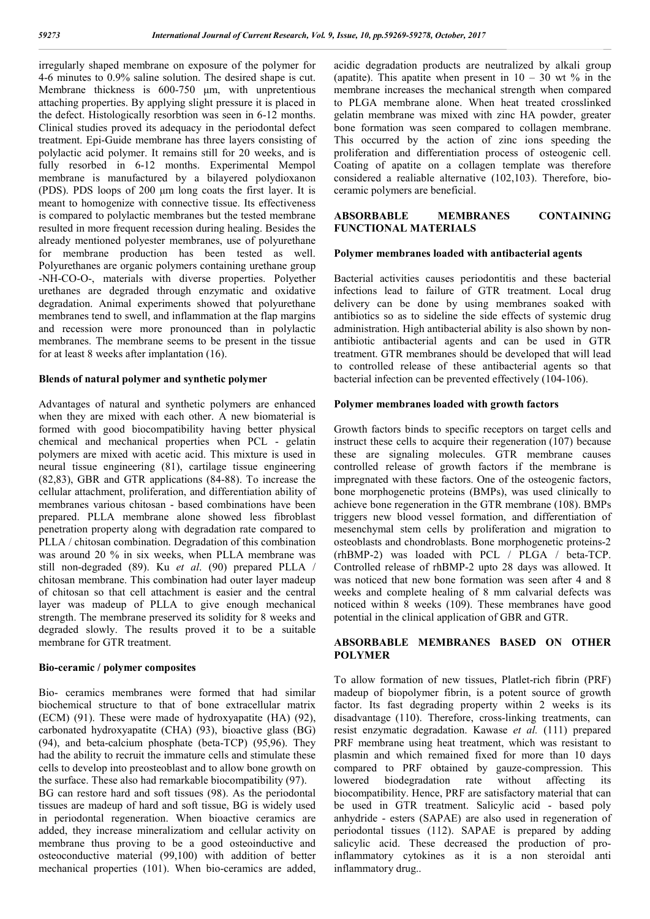irregularly shaped membrane on exposure of the polymer for 4-6 minutes to 0.9% saline solution. The desired shape is cut. Membrane thickness is 600-750 μm, with unpretentious attaching properties. By applying slight pressure it is placed in the defect. Histologically resorbtion was seen in 6-12 months. Clinical studies proved its adequacy in the periodontal defect treatment. Epi-Guide membrane has three layers consisting of polylactic acid polymer. It remains still for 20 weeks, and is fully resorbed in 6-12 months. Experimental Mempol membrane is manufactured by a bilayered polydioxanon (PDS). PDS loops of 200 μm long coats the first layer. It is meant to homogenize with connective tissue. Its effectiveness is compared to polylactic membranes but the tested membrane resulted in more frequent recession during healing. Besides the already mentioned polyester membranes, use of polyurethane for membrane production has been tested as well. Polyurethanes are organic polymers containing urethane group -NH-CO-O-, materials with diverse properties. Polyether urethanes are degraded through enzymatic and oxidative degradation. Animal experiments showed that polyurethane membranes tend to swell, and inflammation at the flap margins and recession were more pronounced than in polylactic membranes. The membrane seems to be present in the tissue for at least 8 weeks after implantation (16).

# **Blends of natural polymer and synthetic polymer**

Advantages of natural and synthetic polymers are enhanced when they are mixed with each other. A new biomaterial is formed with good biocompatibility having better physical chemical and mechanical properties when PCL - gelatin polymers are mixed with acetic acid. This mixture is used in neural tissue engineering (81), cartilage tissue engineering (82,83), GBR and GTR applications (84-88). To increase the cellular attachment, proliferation, and differentiation ability of membranes various chitosan - based combinations have been prepared. PLLA membrane alone showed less fibroblast penetration property along with degradation rate compared to PLLA / chitosan combination. Degradation of this combination was around 20 % in six weeks, when PLLA membrane was still non-degraded (89). Ku *et al*. (90) prepared PLLA / chitosan membrane. This combination had outer layer madeup of chitosan so that cell attachment is easier and the central layer was madeup of PLLA to give enough mechanical strength. The membrane preserved its solidity for 8 weeks and degraded slowly. The results proved it to be a suitable membrane for GTR treatment.

#### **Bio-ceramic / polymer composites**

Bio- ceramics membranes were formed that had similar biochemical structure to that of bone extracellular matrix (ECM) (91). These were made of hydroxyapatite (HA) (92), carbonated hydroxyapatite (CHA) (93), bioactive glass (BG) (94), and beta-calcium phosphate (beta-TCP) (95,96). They had the ability to recruit the immature cells and stimulate these cells to develop into preosteoblast and to allow bone growth on the surface. These also had remarkable biocompatibility (97).

BG can restore hard and soft tissues (98). As the periodontal tissues are madeup of hard and soft tissue, BG is widely used in periodontal regeneration. When bioactive ceramics are added, they increase mineralizatiom and cellular activity on membrane thus proving to be a good osteoinductive and osteoconductive material (99,100) with addition of better mechanical properties (101). When bio-ceramics are added,

acidic degradation products are neutralized by alkali group (apatite). This apatite when present in  $10 - 30$  wt % in the membrane increases the mechanical strength when compared to PLGA membrane alone. When heat treated crosslinked gelatin membrane was mixed with zinc HA powder, greater bone formation was seen compared to collagen membrane. This occurred by the action of zinc ions speeding the proliferation and differentiation process of osteogenic cell. Coating of apatite on a collagen template was therefore considered a realiable alternative (102,103). Therefore, bioceramic polymers are beneficial.

# **ABSORBABLE MEMBRANES CONTAINING FUNCTIONAL MATERIALS**

#### **Polymer membranes loaded with antibacterial agents**

Bacterial activities causes periodontitis and these bacterial infections lead to failure of GTR treatment. Local drug delivery can be done by using membranes soaked with antibiotics so as to sideline the side effects of systemic drug administration. High antibacterial ability is also shown by nonantibiotic antibacterial agents and can be used in GTR treatment. GTR membranes should be developed that will lead to controlled release of these antibacterial agents so that bacterial infection can be prevented effectively (104-106).

# **Polymer membranes loaded with growth factors**

Growth factors binds to specific receptors on target cells and instruct these cells to acquire their regeneration (107) because these are signaling molecules. GTR membrane causes controlled release of growth factors if the membrane is impregnated with these factors. One of the osteogenic factors, bone morphogenetic proteins (BMPs), was used clinically to achieve bone regeneration in the GTR membrane (108). BMPs triggers new blood vessel formation, and differentiation of mesenchymal stem cells by proliferation and migration to osteoblasts and chondroblasts. Bone morphogenetic proteins-2 (rhBMP-2) was loaded with PCL / PLGA / beta-TCP. Controlled release of rhBMP-2 upto 28 days was allowed. It was noticed that new bone formation was seen after 4 and 8 weeks and complete healing of 8 mm calvarial defects was noticed within 8 weeks (109). These membranes have good potential in the clinical application of GBR and GTR.

# **ABSORBABLE MEMBRANES BASED ON OTHER POLYMER**

To allow formation of new tissues, Platlet-rich fibrin (PRF) madeup of biopolymer fibrin, is a potent source of growth factor. Its fast degrading property within 2 weeks is its disadvantage (110). Therefore, cross-linking treatments, can resist enzymatic degradation. Kawase *et al.* (111) prepared PRF membrane using heat treatment, which was resistant to plasmin and which remained fixed for more than 10 days compared to PRF obtained by gauze-compression. This lowered biodegradation rate without affecting its biocompatibility. Hence, PRF are satisfactory material that can be used in GTR treatment. Salicylic acid - based poly anhydride - esters (SAPAE) are also used in regeneration of periodontal tissues (112). SAPAE is prepared by adding salicylic acid. These decreased the production of proinflammatory cytokines as it is a non steroidal anti inflammatory drug..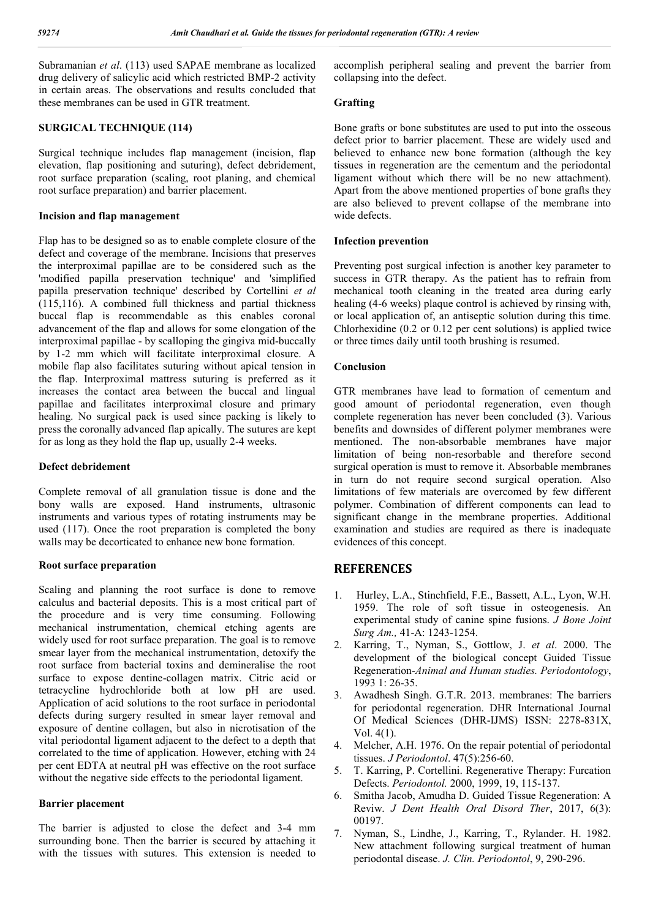Subramanian *et al*. (113) used SAPAE membrane as localized drug delivery of salicylic acid which restricted BMP-2 activity in certain areas. The observations and results concluded that these membranes can be used in GTR treatment.

# **SURGICAL TECHNIQUE (114)**

Surgical technique includes flap management (incision, flap elevation, flap positioning and suturing), defect debridement, root surface preparation (scaling, root planing, and chemical root surface preparation) and barrier placement.

#### **Incision and flap management**

Flap has to be designed so as to enable complete closure of the defect and coverage of the membrane. Incisions that preserves the interproximal papillae are to be considered such as the 'modified papilla preservation technique' and 'simplified papilla preservation technique' described by Cortellini *et al* (115,116). A combined full thickness and partial thickness buccal flap is recommendable as this enables coronal advancement of the flap and allows for some elongation of the interproximal papillae - by scalloping the gingiva mid-buccally by 1-2 mm which will facilitate interproximal closure. A mobile flap also facilitates suturing without apical tension in the flap. Interproximal mattress suturing is preferred as it increases the contact area between the buccal and lingual papillae and facilitates interproximal closure and primary healing. No surgical pack is used since packing is likely to press the coronally advanced flap apically. The sutures are kept for as long as they hold the flap up, usually 2-4 weeks.

#### **Defect debridement**

Complete removal of all granulation tissue is done and the bony walls are exposed. Hand instruments, ultrasonic instruments and various types of rotating instruments may be used (117). Once the root preparation is completed the bony walls may be decorticated to enhance new bone formation.

# **Root surface preparation**

Scaling and planning the root surface is done to remove calculus and bacterial deposits. This is a most critical part of the procedure and is very time consuming. Following mechanical instrumentation, chemical etching agents are widely used for root surface preparation. The goal is to remove smear layer from the mechanical instrumentation, detoxify the root surface from bacterial toxins and demineralise the root surface to expose dentine-collagen matrix. Citric acid or tetracycline hydrochloride both at low pH are used. Application of acid solutions to the root surface in periodontal defects during surgery resulted in smear layer removal and exposure of dentine collagen, but also in nicrotisation of the vital periodontal ligament adjacent to the defect to a depth that correlated to the time of application. However, etching with 24 per cent EDTA at neutral pH was effective on the root surface without the negative side effects to the periodontal ligament.

# **Barrier placement**

The barrier is adjusted to close the defect and 3-4 mm surrounding bone. Then the barrier is secured by attaching it with the tissues with sutures. This extension is needed to

accomplish peripheral sealing and prevent the barrier from collapsing into the defect.

# **Grafting**

Bone grafts or bone substitutes are used to put into the osseous defect prior to barrier placement. These are widely used and believed to enhance new bone formation (although the key tissues in regeneration are the cementum and the periodontal ligament without which there will be no new attachment). Apart from the above mentioned properties of bone grafts they are also believed to prevent collapse of the membrane into wide defects.

# **Infection prevention**

Preventing post surgical infection is another key parameter to success in GTR therapy. As the patient has to refrain from mechanical tooth cleaning in the treated area during early healing (4-6 weeks) plaque control is achieved by rinsing with, or local application of, an antiseptic solution during this time. Chlorhexidine (0.2 or 0.12 per cent solutions) is applied twice or three times daily until tooth brushing is resumed.

# **Conclusion**

GTR membranes have lead to formation of cementum and good amount of periodontal regeneration, even though complete regeneration has never been concluded (3). Various benefits and downsides of different polymer membranes were mentioned. The non-absorbable membranes have major limitation of being non-resorbable and therefore second surgical operation is must to remove it. Absorbable membranes in turn do not require second surgical operation. Also limitations of few materials are overcomed by few different polymer. Combination of different components can lead to significant change in the membrane properties. Additional examination and studies are required as there is inadequate evidences of this concept.

# **REFERENCES**

- 1. Hurley, L.A., Stinchfield, F.E., Bassett, A.L., Lyon, W.H. 1959. The role of soft tissue in osteogenesis. An experimental study of canine spine fusions. *J Bone Joint Surg Am.,* 41-A: 1243-1254.
- 2. Karring, T., Nyman, S., Gottlow, J. *et al*. 2000. The development of the biological concept Guided Tissue Regeneration-*Animal and Human studies. Periodontology*, 1993 1: 26-35.
- 3. Awadhesh Singh. G.T.R. 2013. membranes: The barriers for periodontal regeneration. DHR International Journal Of Medical Sciences (DHR-IJMS) ISSN: 2278-831X, Vol. 4(1).
- 4. Melcher, A.H. 1976. On the repair potential of periodontal tissues. *J Periodontol*. 47(5):256-60.
- 5. T. Karring, P. Cortellini. Regenerative Therapy: Furcation Defects. *Periodontol.* 2000, 1999, 19, 115-137.
- 6. Smitha Jacob, Amudha D. Guided Tissue Regeneration: A Reviw. *J Dent Health Oral Disord Ther*, 2017, 6(3): 00197.
- 7. Nyman, S., Lindhe, J., Karring, T., Rylander. H. 1982. New attachment following surgical treatment of human periodontal disease. *J. Clin. Periodontol*, 9, 290-296.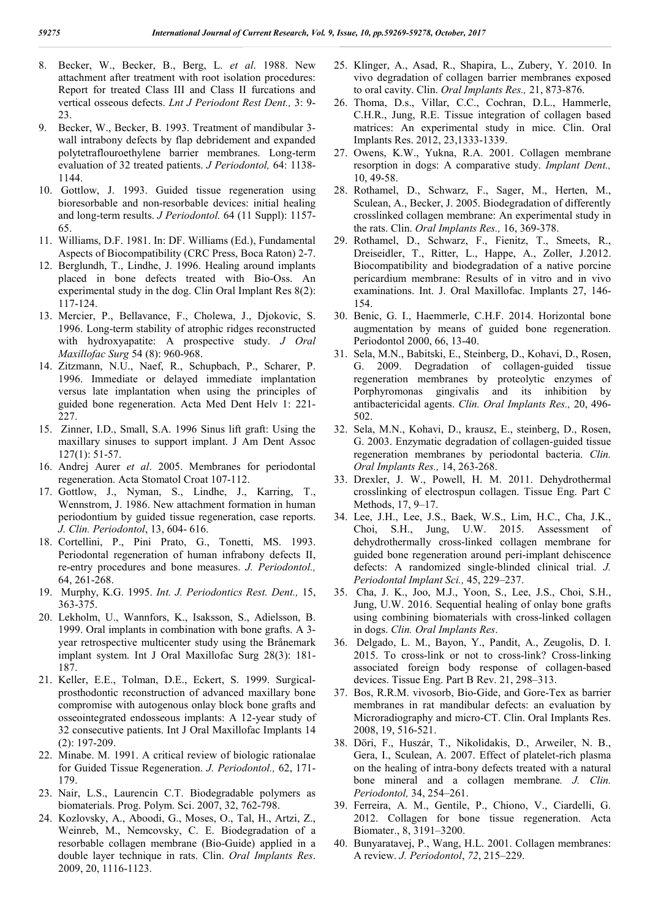- 8. Becker, W., Becker, B., Berg, L. *et al*. 1988. New attachment after treatment with root isolation procedures: Report for treated Class III and Class II furcations and vertical osseous defects. *Lnt J Periodont Rest Dent.,* 3: 9- 23.
- 9. Becker, W., Becker, B. 1993. Treatment of mandibular 3 wall intrabony defects by flap debridement and expanded polytetraflouroethylene barrier membranes. Long-term evaluation of 32 treated patients. *J Periodontol,* 64: 1138- 1144.
- 10. Gottlow, J. 1993. Guided tissue regeneration using bioresorbable and non-resorbable devices: initial healing and long-term results. *J Periodontol.* 64 (11 Suppl): 1157- 65.
- 11. Williams, D.F. 1981. In: DF. Williams (Ed.), Fundamental Aspects of Biocompatibility (CRC Press, Boca Raton) 2-7.
- 12. Berglundh, T., Lindhe, J. 1996. Healing around implants placed in bone defects treated with Bio-Oss. An experimental study in the dog. Clin Oral Implant Res 8(2): 117-124.
- 13. Mercier, P., Bellavance, F., Cholewa, J., Djokovic, S. 1996. Long-term stability of atrophic ridges reconstructed with hydroxyapatite: A prospective study. *J Oral Maxillofac Surg* 54 (8): 960-968.
- 14. Zitzmann, N.U., Naef, R., Schupbach, P., Scharer, P. 1996. Immediate or delayed immediate implantation versus late implantation when using the principles of guided bone regeneration. Acta Med Dent Helv 1: 221- 227.
- 15. Zinner, I.D., Small, S.A. 1996 Sinus lift graft: Using the maxillary sinuses to support implant. J Am Dent Assoc 127(1): 51-57.
- 16. Andrej Aurer *et al*. 2005. Membranes for periodontal regeneration. Acta Stomatol Croat 107-112.
- 17. Gottlow, J., Nyman, S., Lindhe, J., Karring, T., Wennstrom, J. 1986. New attachment formation in human periodontium by guided tissue regeneration, case reports. *J. Clin. Periodontol*, 13, 604- 616.
- 18. Cortellini, P., Pini Prato, G., Tonetti, MS. 1993. Periodontal regeneration of human infrabony defects II, re-entry procedures and bone measures. *J. Periodontol.,* 64, 261-268.
- 19. Murphy, K.G. 1995. *Int. J. Periodontics Rest. Dent.,* 15, 363-375.
- 20. Lekholm, U., Wannfors, K., Isaksson, S., Adielsson, B. 1999. Oral implants in combination with bone grafts. A 3 year retrospective multicenter study using the Brånemark implant system. Int J Oral Maxillofac Surg 28(3): 181- 187.
- 21. Keller, E.E., Tolman, D.E., Eckert, S. 1999. Surgicalprosthodontic reconstruction of advanced maxillary bone compromise with autogenous onlay block bone grafts and osseointegrated endosseous implants: A 12-year study of 32 consecutive patients. Int J Oral Maxillofac Implants 14 (2): 197-209.
- 22. Minabe. M. 1991. A critical review of biologic rationalae for Guided Tissue Regeneration. *J. Periodontol.,* 62, 171- 179.
- 23. Nair, L.S., Laurencin C.T. Biodegradable polymers as biomaterials. Prog. Polym. Sci. 2007, 32, 762-798.
- 24. Kozlovsky, A., Aboodi, G., Moses, O., Tal, H., Artzi, Z., Weinreb, M., Nemcovsky, C. E. Biodegradation of a resorbable collagen membrane (Bio-Guide) applied in a double layer technique in rats. Clin. *Oral Implants Res*. 2009, 20, 1116-1123.
- 25. Klinger, A., Asad, R., Shapira, L., Zubery, Y. 2010. In vivo degradation of collagen barrier membranes exposed to oral cavity. Clin. *Oral Implants Res.,* 21, 873-876.
- 26. Thoma, D.s., Villar, C.C., Cochran, D.L., Hammerle, C.H.R., Jung, R.E. Tissue integration of collagen based matrices: An experimental study in mice. Clin. Oral Implants Res. 2012, 23,1333-1339.
- 27. Owens, K.W., Yukna, R.A. 2001. Collagen membrane resorption in dogs: A comparative study. *Implant Dent.,* 10, 49-58.
- 28. Rothamel, D., Schwarz, F., Sager, M., Herten, M., Sculean, A., Becker, J. 2005. Biodegradation of differently crosslinked collagen membrane: An experimental study in the rats. Clin. *Oral Implants Res.,* 16, 369-378.
- 29. Rothamel, D., Schwarz, F., Fienitz, T., Smeets, R., Dreiseidler, T., Ritter, L., Happe, A., Zoller, J.2012. Biocompatibility and biodegradation of a native porcine pericardium membrane: Results of in vitro and in vivo examinations. Int. J. Oral Maxillofac. Implants 27, 146- 154.
- 30. Benic, G. I., Haemmerle, C.H.F. 2014. Horizontal bone augmentation by means of guided bone regeneration. Periodontol 2000, 66, 13-40.
- 31. Sela, M.N., Babitski, E., Steinberg, D., Kohavi, D., Rosen, G. 2009. Degradation of collagen-guided tissue regeneration membranes by proteolytic enzymes of Porphyromonas gingivalis and its inhibition by antibactericidal agents. *Clin. Oral Implants Res.,* 20, 496- 502.
- 32. Sela, M.N., Kohavi, D., krausz, E., steinberg, D., Rosen, G. 2003. Enzymatic degradation of collagen-guided tissue regeneration membranes by periodontal bacteria. *Clin. Oral Implants Res.,* 14, 263-268.
- 33. Drexler, J. W., Powell, H. M. 2011. Dehydrothermal crosslinking of electrospun collagen. Tissue Eng. Part C Methods, 17, 9–17.
- 34. Lee, J.H., Lee, J.S., Baek, W.S., Lim, H.C., Cha, J.K., Choi, S.H., Jung, U.W. 2015. Assessment of dehydrothermally cross-linked collagen membrane for guided bone regeneration around peri-implant dehiscence defects: A randomized single-blinded clinical trial. *J. Periodontal Implant Sci.,* 45, 229–237.
- 35. Cha, J. K., Joo, M.J., Yoon, S., Lee, J.S., Choi, S.H., Jung, U.W. 2016. Sequential healing of onlay bone grafts using combining biomaterials with cross-linked collagen in dogs. *Clin. Oral Implants Res*.
- 36. Delgado, L. M., Bayon, Y., Pandit, A., Zeugolis, D. I. 2015. To cross-link or not to cross-link? Cross-linking associated foreign body response of collagen-based devices. Tissue Eng. Part B Rev. 21, 298–313.
- 37. Bos, R.R.M. vivosorb, Bio-Gide, and Gore-Tex as barrier membranes in rat mandibular defects: an evaluation by Microradiography and micro-CT. Clin. Oral Implants Res. 2008, 19, 516-521.
- 38. Döri, F., Huszár, T., Nikolidakis, D., Arweiler, N. B., Gera, I., Sculean, A. 2007. Effect of platelet-rich plasma on the healing of intra-bony defects treated with a natural bone mineral and a collagen membrane*. J. Clin. Periodontol,* 34, 254–261.
- 39. Ferreira, A. M., Gentile, P., Chiono, V., Ciardelli, G. 2012. Collagen for bone tissue regeneration. Acta Biomater., 8, 3191–3200.
- 40. Bunyaratavej, P., Wang, H.L. 2001. Collagen membranes: A review. *J. Periodontol*, *72*, 215–229.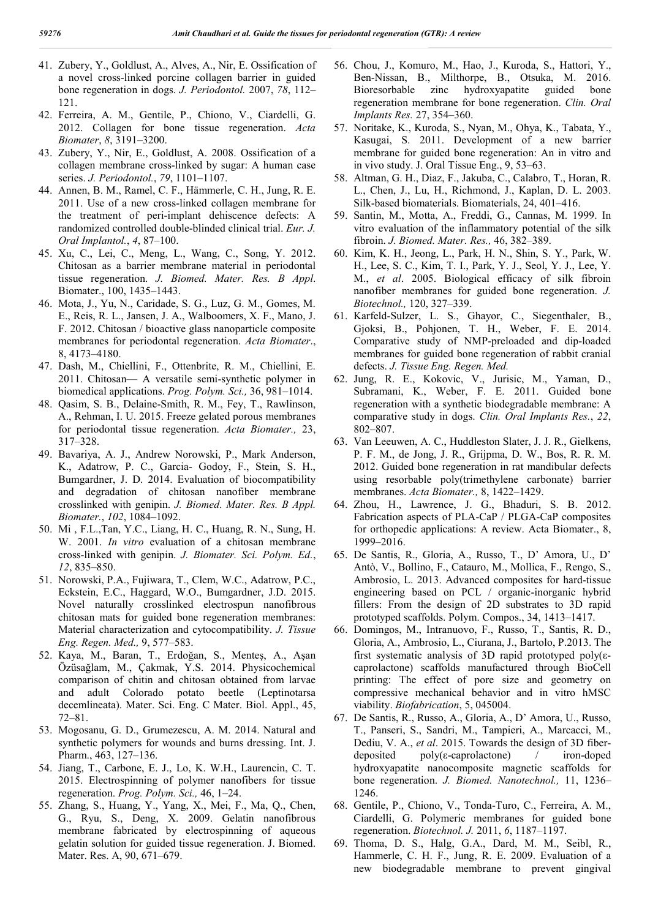- 41. Zubery, Y., Goldlust, A., Alves, A., Nir, E. Ossification of a novel cross-linked porcine collagen barrier in guided bone regeneration in dogs. *J. Periodontol.* 2007, *78*, 112– 121.
- 42. Ferreira, A. M., Gentile, P., Chiono, V., Ciardelli, G. 2012. Collagen for bone tissue regeneration. *Acta Biomater*, *8*, 3191–3200.
- 43. Zubery, Y., Nir, E., Goldlust, A. 2008. Ossification of a collagen membrane cross-linked by sugar: A human case series. *J. Periodontol.*, *79*, 1101–1107.
- 44. Annen, B. M., Ramel, C. F., Hämmerle, C. H., Jung, R. E. 2011. Use of a new cross-linked collagen membrane for the treatment of peri-implant dehiscence defects: A randomized controlled double-blinded clinical trial. *Eur. J. Oral Implantol.*, *4*, 87–100.
- 45. Xu, C., Lei, C., Meng, L., Wang, C., Song, Y. 2012. Chitosan as a barrier membrane material in periodontal tissue regeneration. *J. Biomed. Mater. Res. B Appl*. Biomater., 100, 1435–1443.
- 46. Mota, J., Yu, N., Caridade, S. G., Luz, G. M., Gomes, M. E., Reis, R. L., Jansen, J. A., Walboomers, X. F., Mano, J. F. 2012. Chitosan / bioactive glass nanoparticle composite membranes for periodontal regeneration. *Acta Biomater*., 8, 4173–4180.
- 47. Dash, M., Chiellini, F., Ottenbrite, R. M., Chiellini, E. 2011. Chitosan— A versatile semi-synthetic polymer in biomedical applications. *Prog. Polym. Sci.,* 36, 981–1014.
- 48. Qasim, S. B., Delaine-Smith, R. M., Fey, T., Rawlinson, A., Rehman, I. U. 2015. Freeze gelated porous membranes for periodontal tissue regeneration. *Acta Biomater.,* 23, 317–328.
- 49. Bavariya, A. J., Andrew Norowski, P., Mark Anderson, K., Adatrow, P. C., Garcia- Godoy, F., Stein, S. H., Bumgardner, J. D. 2014. Evaluation of biocompatibility and degradation of chitosan nanofiber membrane crosslinked with genipin. *J. Biomed. Mater. Res. B Appl. Biomater.*, *102*, 1084–1092.
- 50. Mi , F.L.,Tan, Y.C., Liang, H. C., Huang, R. N., Sung, H. W. 2001. *In vitro* evaluation of a chitosan membrane cross-linked with genipin. *J. Biomater. Sci. Polym. Ed.*, *12*, 835–850.
- 51. Norowski, P.A., Fujiwara, T., Clem, W.C., Adatrow, P.C., Eckstein, E.C., Haggard, W.O., Bumgardner, J.D. 2015. Novel naturally crosslinked electrospun nanofibrous chitosan mats for guided bone regeneration membranes: Material characterization and cytocompatibility. *J. Tissue Eng. Regen. Med.,* 9, 577–583.
- 52. Kaya, M., Baran, T., Erdoğan, S., Menteş, A., Aşan Özüsağlam, M., Çakmak, Y.S. 2014. Physicochemical comparison of chitin and chitosan obtained from larvae and adult Colorado potato beetle (Leptinotarsa decemlineata). Mater. Sci. Eng. C Mater. Biol. Appl., 45, 72–81.
- 53. Mogosanu, G. D., Grumezescu, A. M. 2014. Natural and synthetic polymers for wounds and burns dressing. Int. J. Pharm., 463, 127–136.
- 54. Jiang, T., Carbone, E. J., Lo, K. W.H., Laurencin, C. T. 2015. Electrospinning of polymer nanofibers for tissue regeneration. *Prog. Polym. Sci.,* 46, 1–24.
- 55. Zhang, S., Huang, Y., Yang, X., Mei, F., Ma, Q., Chen, G., Ryu, S., Deng, X. 2009. Gelatin nanofibrous membrane fabricated by electrospinning of aqueous gelatin solution for guided tissue regeneration. J. Biomed. Mater. Res. A, 90, 671–679.
- 56. Chou, J., Komuro, M., Hao, J., Kuroda, S., Hattori, Y., Ben-Nissan, B., Milthorpe, B., Otsuka, M. 2016. Bioresorbable zinc hydroxyapatite guided bone regeneration membrane for bone regeneration. *Clin. Oral Implants Res.* 27, 354–360.
- 57. Noritake, K., Kuroda, S., Nyan, M., Ohya, K., Tabata, Y., Kasugai, S. 2011. Development of a new barrier membrane for guided bone regeneration: An in vitro and in vivo study. J. Oral Tissue Eng., 9, 53–63.
- 58. Altman, G. H., Diaz, F., Jakuba, C., Calabro, T., Horan, R. L., Chen, J., Lu, H., Richmond, J., Kaplan, D. L. 2003. Silk-based biomaterials. Biomaterials, 24, 401–416.
- 59. Santin, M., Motta, A., Freddi, G., Cannas, M. 1999. In vitro evaluation of the inflammatory potential of the silk fibroin. *J. Biomed. Mater. Res.,* 46, 382–389.
- 60. Kim, K. H., Jeong, L., Park, H. N., Shin, S. Y., Park, W. H., Lee, S. C., Kim, T. I., Park, Y. J., Seol, Y. J., Lee, Y. M., *et al*. 2005. Biological efficacy of silk fibroin nanofiber membranes for guided bone regeneration. *J. Biotechnol.,* 120, 327–339.
- 61. Karfeld-Sulzer, L. S., Ghayor, C., Siegenthaler, B., Gjoksi, B., Pohjonen, T. H., Weber, F. E. 2014. Comparative study of NMP-preloaded and dip-loaded membranes for guided bone regeneration of rabbit cranial defects. *J. Tissue Eng. Regen. Med.*
- 62. Jung, R. E., Kokovic, V., Jurisic, M., Yaman, D., Subramani, K., Weber, F. E. 2011. Guided bone regeneration with a synthetic biodegradable membrane: A comparative study in dogs. *Clin. Oral Implants Res.*, *22*, 802–807.
- 63. Van Leeuwen, A. C., Huddleston Slater, J. J. R., Gielkens, P. F. M., de Jong, J. R., Grijpma, D. W., Bos, R. R. M. 2012. Guided bone regeneration in rat mandibular defects using resorbable poly(trimethylene carbonate) barrier membranes. *Acta Biomater.,* 8, 1422–1429.
- 64. Zhou, H., Lawrence, J. G., Bhaduri, S. B. 2012. Fabrication aspects of PLA-CaP / PLGA-CaP composites for orthopedic applications: A review. Acta Biomater., 8, 1999–2016.
- 65. De Santis, R., Gloria, A., Russo, T., D' Amora, U., D' Antò, V., Bollino, F., Catauro, M., Mollica, F., Rengo, S., Ambrosio, L. 2013. Advanced composites for hard-tissue engineering based on PCL / organic-inorganic hybrid fillers: From the design of 2D substrates to 3D rapid prototyped scaffolds. Polym. Compos., 34, 1413–1417.
- 66. Domingos, M., Intranuovo, F., Russo, T., Santis, R. D., Gloria, A., Ambrosio, L., Ciurana, J., Bartolo, P.2013. The first systematic analysis of 3D rapid prototyped poly(εcaprolactone) scaffolds manufactured through BioCell printing: The effect of pore size and geometry on compressive mechanical behavior and in vitro hMSC viability. *Biofabrication*, 5, 045004.
- 67. De Santis, R., Russo, A., Gloria, A., D' Amora, U., Russo, T., Panseri, S., Sandri, M., Tampieri, A., Marcacci, M., Dediu, V. A., *et al*. 2015. Towards the design of 3D fiberdeposited poly(ε-caprolactone) / iron-doped hydroxyapatite nanocomposite magnetic scaffolds for bone regeneration. *J. Biomed. Nanotechnol.,* 11, 1236– 1246.
- 68. Gentile, P., Chiono, V., Tonda-Turo, C., Ferreira, A. M., Ciardelli, G. Polymeric membranes for guided bone regeneration. *Biotechnol. J.* 2011, *6*, 1187–1197.
- 69. Thoma, D. S., Halg, G.A., Dard, M. M., Seibl, R., Hammerle, C. H. F., Jung, R. E. 2009. Evaluation of a new biodegradable membrane to prevent gingival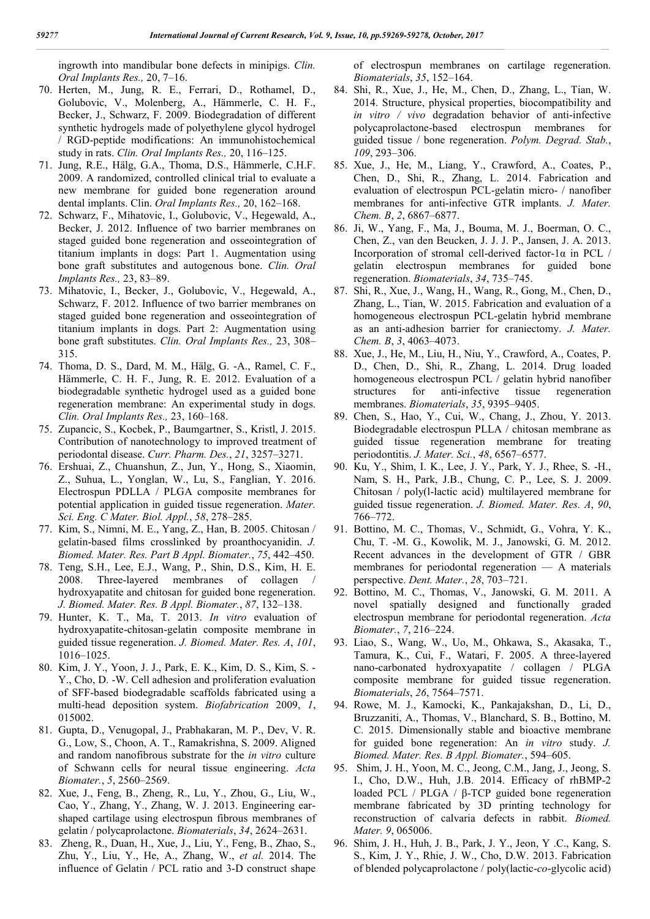ingrowth into mandibular bone defects in minipigs. *Clin. Oral Implants Res.,* 20, 7–16.

- 70. Herten, M., Jung, R. E., Ferrari, D., Rothamel, D., Golubovic, V., Molenberg, A., Hämmerle, C. H. F., Becker, J., Schwarz, F. 2009. Biodegradation of different synthetic hydrogels made of polyethylene glycol hydrogel / RGD-peptide modifications: An immunohistochemical study in rats. *Clin. Oral Implants Res.,* 20, 116–125.
- 71. Jung, R.E., Hälg, G.A., Thoma, D.S., Hämmerle, C.H.F. 2009. A randomized, controlled clinical trial to evaluate a new membrane for guided bone regeneration around dental implants. Clin. *Oral Implants Res.,* 20, 162–168.
- 72. Schwarz, F., Mihatovic, I., Golubovic, V., Hegewald, A., Becker, J. 2012. Influence of two barrier membranes on staged guided bone regeneration and osseointegration of titanium implants in dogs: Part 1. Augmentation using bone graft substitutes and autogenous bone. *Clin. Oral Implants Res.,* 23, 83–89.
- 73. Mihatovic, I., Becker, J., Golubovic, V., Hegewald, A., Schwarz, F. 2012. Influence of two barrier membranes on staged guided bone regeneration and osseointegration of titanium implants in dogs. Part 2: Augmentation using bone graft substitutes. *Clin. Oral Implants Res.,* 23, 308– 315.
- 74. Thoma, D. S., Dard, M. M., Hälg, G. -A., Ramel, C. F., Hämmerle, C. H. F., Jung, R. E. 2012. Evaluation of a biodegradable synthetic hydrogel used as a guided bone regeneration membrane: An experimental study in dogs. *Clin. Oral Implants Res.,* 23, 160–168.
- 75. Zupancic, S., Kocbek, P., Baumgartner, S., Kristl, J. 2015. Contribution of nanotechnology to improved treatment of periodontal disease. *Curr. Pharm. Des.*, *21*, 3257–3271.
- 76. Ershuai, Z., Chuanshun, Z., Jun, Y., Hong, S., Xiaomin, Z., Suhua, L., Yonglan, W., Lu, S., Fanglian, Y. 2016. Electrospun PDLLA / PLGA composite membranes for potential application in guided tissue regeneration. *Mater. Sci. Eng. C Mater. Biol. Appl.*, *58*, 278–285.
- 77. Kim, S., Nimni, M. E., Yang, Z., Han, B. 2005. Chitosan / gelatin-based films crosslinked by proanthocyanidin. *J. Biomed. Mater. Res. Part B Appl. Biomater.*, *75*, 442–450.
- 78. Teng, S.H., Lee, E.J., Wang, P., Shin, D.S., Kim, H. E. 2008. Three-layered membranes of collagen / hydroxyapatite and chitosan for guided bone regeneration. *J. Biomed. Mater. Res. B Appl. Biomater.*, *87*, 132–138.
- 79. Hunter, K. T., Ma, T. 2013. *In vitro* evaluation of hydroxyapatite-chitosan-gelatin composite membrane in guided tissue regeneration. *J. Biomed. Mater. Res. A*, *101*, 1016–1025.
- 80. Kim, J. Y., Yoon, J. J., Park, E. K., Kim, D. S., Kim, S. Y., Cho, D. -W. Cell adhesion and proliferation evaluation of SFF-based biodegradable scaffolds fabricated using a multi-head deposition system. *Biofabrication* 2009, *1*, 015002.
- 81. Gupta, D., Venugopal, J., Prabhakaran, M. P., Dev, V. R. G., Low, S., Choon, A. T., Ramakrishna, S. 2009. Aligned and random nanofibrous substrate for the *in vitro* culture of Schwann cells for neural tissue engineering. *Acta Biomater.*, *5*, 2560–2569.
- 82. Xue, J., Feng, B., Zheng, R., Lu, Y., Zhou, G., Liu, W., Cao, Y., Zhang, Y., Zhang, W. J. 2013. Engineering earshaped cartilage using electrospun fibrous membranes of gelatin / polycaprolactone. *Biomaterials*, *34*, 2624–2631.
- 83. Zheng, R., Duan, H., Xue, J., Liu, Y., Feng, B., Zhao, S., Zhu, Y., Liu, Y., He, A., Zhang, W., *et al.* 2014. The influence of Gelatin / PCL ratio and 3-D construct shape

of electrospun membranes on cartilage regeneration. *Biomaterials*, *35*, 152–164.

- 84. Shi, R., Xue, J., He, M., Chen, D., Zhang, L., Tian, W. 2014. Structure, physical properties, biocompatibility and *in vitro / vivo* degradation behavior of anti-infective polycaprolactone-based electrospun membranes for guided tissue / bone regeneration. *Polym. Degrad. Stab.*, *109*, 293–306.
- 85. Xue, J., He, M., Liang, Y., Crawford, A., Coates, P., Chen, D., Shi, R., Zhang, L. 2014. Fabrication and evaluation of electrospun PCL-gelatin micro- / nanofiber membranes for anti-infective GTR implants. *J. Mater. Chem. B*, *2*, 6867–6877.
- 86. Ji, W., Yang, F., Ma, J., Bouma, M. J., Boerman, O. C., Chen, Z., van den Beucken, J. J. J. P., Jansen, J. A. 2013. Incorporation of stromal cell-derived factor-1α in PCL / gelatin electrospun membranes for guided bone regeneration. *Biomaterials*, *34*, 735–745.
- 87. Shi, R., Xue, J., Wang, H., Wang, R., Gong, M., Chen, D., Zhang, L., Tian, W. 2015. Fabrication and evaluation of a homogeneous electrospun PCL-gelatin hybrid membrane as an anti-adhesion barrier for craniectomy. *J. Mater. Chem. B*, *3*, 4063–4073.
- 88. Xue, J., He, M., Liu, H., Niu, Y., Crawford, A., Coates, P. D., Chen, D., Shi, R., Zhang, L. 2014. Drug loaded homogeneous electrospun PCL / gelatin hybrid nanofiber structures for anti-infective tissue regeneration membranes. *Biomaterials*, *35*, 9395–9405.
- 89. Chen, S., Hao, Y., Cui, W., Chang, J., Zhou, Y. 2013. Biodegradable electrospun PLLA / chitosan membrane as guided tissue regeneration membrane for treating periodontitis. *J. Mater. Sci.*, *48*, 6567–6577.
- 90. Ku, Y., Shim, I. K., Lee, J. Y., Park, Y. J., Rhee, S. -H., Nam, S. H., Park, J.B., Chung, C. P., Lee, S. J. 2009. Chitosan / poly(l-lactic acid) multilayered membrane for guided tissue regeneration. *J. Biomed. Mater. Res. A*, *90*, 766–772.
- 91. Bottino, M. C., Thomas, V., Schmidt, G., Vohra, Y. K., Chu, T. -M. G., Kowolik, M. J., Janowski, G. M. 2012. Recent advances in the development of GTR / GBR membranes for periodontal regeneration — A materials perspective. *Dent. Mater.*, *28*, 703–721.
- 92. Bottino, M. C., Thomas, V., Janowski, G. M. 2011. A novel spatially designed and functionally graded electrospun membrane for periodontal regeneration. *Acta Biomater.*, *7*, 216–224.
- 93. Liao, S., Wang, W., Uo, M., Ohkawa, S., Akasaka, T., Tamura, K., Cui, F., Watari, F. 2005. A three-layered nano-carbonated hydroxyapatite / collagen / PLGA composite membrane for guided tissue regeneration. *Biomaterials*, *26*, 7564–7571.
- 94. Rowe, M. J., Kamocki, K., Pankajakshan, D., Li, D., Bruzzaniti, A., Thomas, V., Blanchard, S. B., Bottino, M. C. 2015. Dimensionally stable and bioactive membrane for guided bone regeneration: An *in vitro* study. *J. Biomed. Mater. Res. B Appl. Biomater.*, 594–605.
- 95. Shim, J. H., Yoon, M. C., Jeong, C.M., Jang, J., Jeong, S. I., Cho, D.W., Huh, J.B. 2014. Efficacy of rhBMP-2 loaded PCL / PLGA / β-TCP guided bone regeneration membrane fabricated by 3D printing technology for reconstruction of calvaria defects in rabbit. *Biomed. Mater. 9*, 065006.
- 96. Shim, J. H., Huh, J. B., Park, J. Y., Jeon, Y .C., Kang, S. S., Kim, J. Y., Rhie, J. W., Cho, D.W. 2013. Fabrication of blended polycaprolactone / poly(lactic-*co*-glycolic acid)